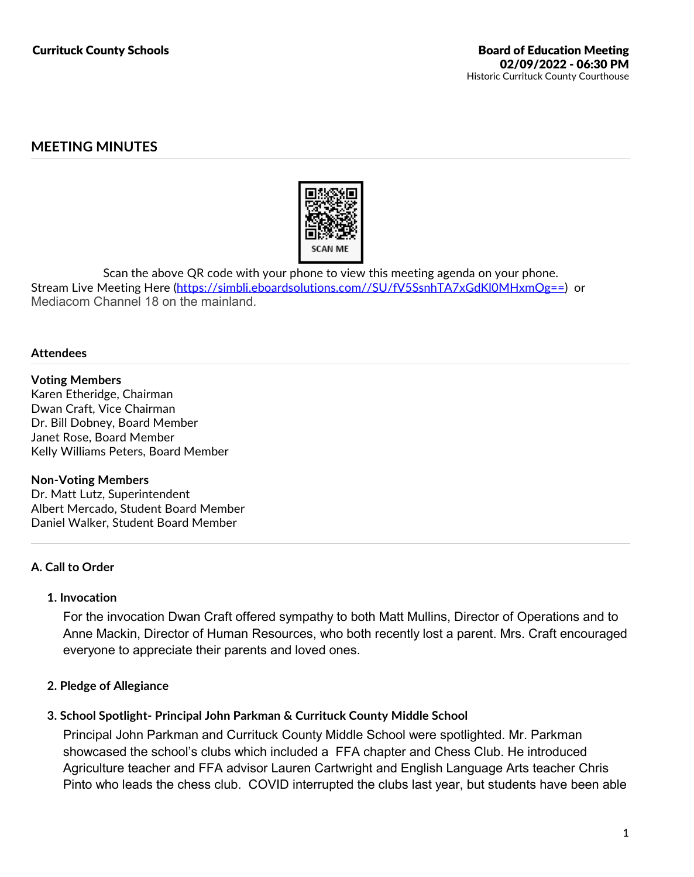# **MEETING MINUTES**



Scan the above QR code with your phone to view this meeting agenda on your phone.<br>Stream Live Meeting Here (https://simbli.eboardsolutions.com//SU/fV5SsnhTA7xGdKl0MHxmOg==) or Mediacom Channel 18 on the mainland.

#### **Attendees**

#### **Voting Members**

Karen Etheridge, Chairman Dwan Craft, Vice Chairman Dr. Bill Dobney, Board Member Janet Rose, Board Member Kelly Williams Peters, Board Member

#### **Non-Voting Members**

Dr. Matt Lutz, Superintendent Albert Mercado, Student Board Member Daniel Walker, Student Board Member

## **A. Call to Order**

#### **1. Invocation**

For the invocation Dwan Craft offered sympathy to both Matt Mullins, Director of Operations and to Anne Mackin, Director of Human Resources, who both recently lost a parent. Mrs. Craft encouraged everyone to appreciate their parents and loved ones.

#### **2. Pledge of Allegiance**

#### **3. School Spotlight- Principal John Parkman & Currituck County Middle School**

Principal John Parkman and Currituck County Middle School were spotlighted. Mr. Parkman showcased the school's clubs which included a FFA chapter and Chess Club. He introduced Agriculture teacher and FFA advisor Lauren Cartwright and English Language Arts teacher Chris Pinto who leads the chess club. COVID interrupted the clubs last year, but students have been able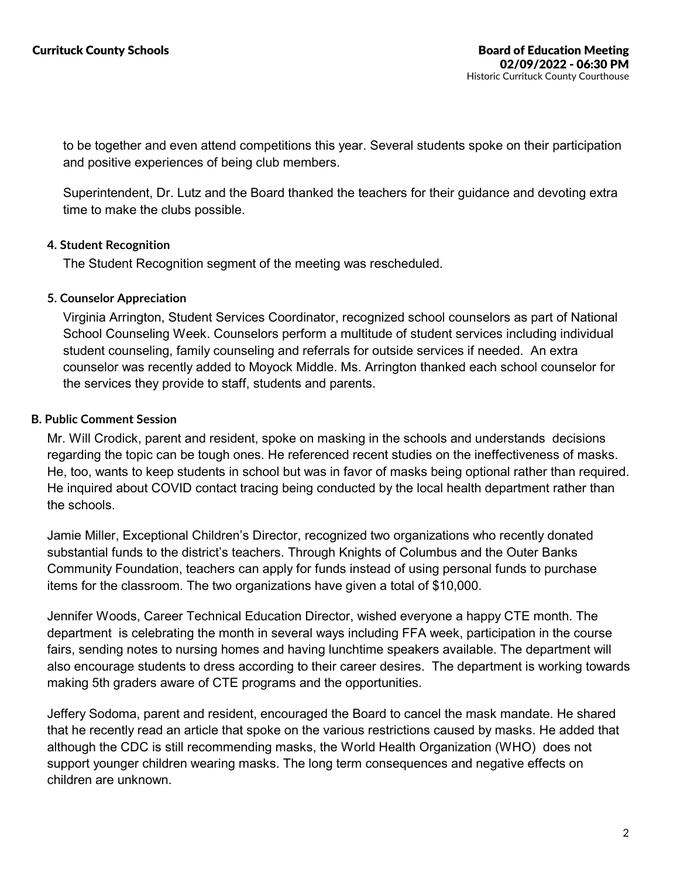to be together and even attend competitions this year. Several students spoke on their participation and positive experiences of being club members.

Superintendent, Dr. Lutz and the Board thanked the teachers for their guidance and devoting extra time to make the clubs possible.

## **4. Student Recognition**

The Student Recognition segment of the meeting was rescheduled.

### **5. Counselor Appreciation**

Virginia Arrington, Student Services Coordinator, recognized school counselors as part of National School Counseling Week. Counselors perform a multitude of student services including individual student counseling, family counseling and referrals for outside services if needed. An extra counselor was recently added to Moyock Middle. Ms. Arrington thanked each school counselor for the services they provide to staff, students and parents.

### **B. Public Comment Session**

Mr. Will Crodick, parent and resident, spoke on masking in the schools and understands decisions regarding the topic can be tough ones. He referenced recent studies on the ineffectiveness of masks. He, too, wants to keep students in school but was in favor of masks being optional rather than required. He inquired about COVID contact tracing being conducted by the local health department rather than the schools.

Jamie Miller, Exceptional Children's Director, recognized two organizations who recently donated substantial funds to the district's teachers. Through Knights of Columbus and the Outer Banks Community Foundation, teachers can apply for funds instead of using personal funds to purchase items for the classroom. The two organizations have given a total of \$10,000.

Jennifer Woods, Career Technical Education Director, wished everyone a happy CTE month. The department is celebrating the month in several ways including FFA week, participation in the course fairs, sending notes to nursing homes and having lunchtime speakers available. The department will also encourage students to dress according to their career desires. The department is working towards making 5th graders aware of CTE programs and the opportunities.

Jeffery Sodoma, parent and resident, encouraged the Board to cancel the mask mandate. He shared that he recently read an article that spoke on the various restrictions caused by masks. He added that although the CDC is still recommending masks, the World Health Organization (WHO) does not support younger children wearing masks. The long term consequences and negative effects on children are unknown.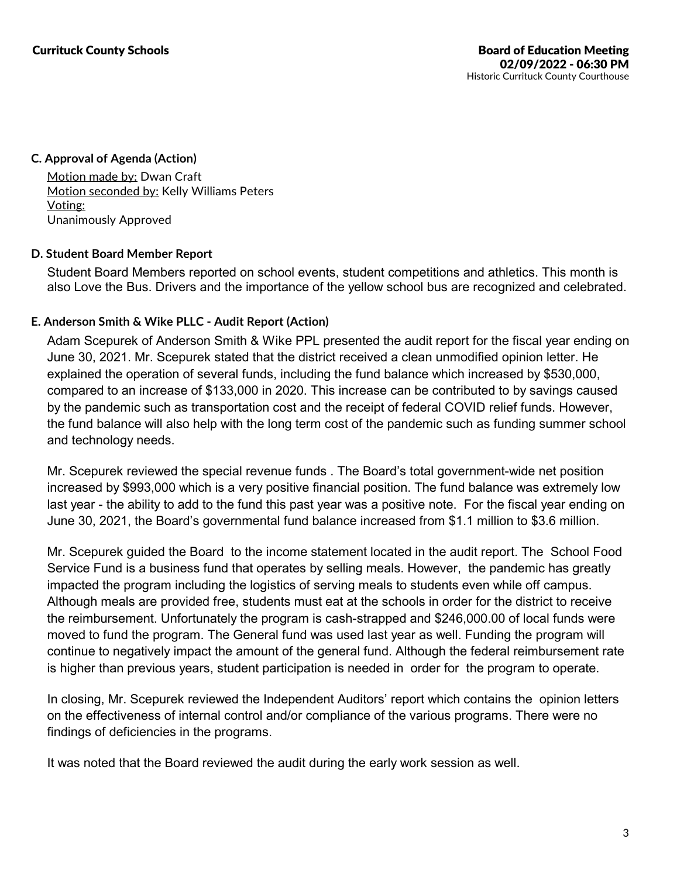#### **C. Approval of Agenda (Action)**

Motion made by: Dwan Craft Motion seconded by: Kelly Williams Peters Voting: Unanimously Approved

### **D. Student Board Member Report**

Student Board Members reported on school events, student competitions and athletics. This month is also Love the Bus. Drivers and the importance of the yellow school bus are recognized and celebrated.

## **E. Anderson Smith & Wike PLLC - Audit Report (Action)**

Adam Scepurek of Anderson Smith & Wike PPL presented the audit report for the fiscal year ending on June 30, 2021. Mr. Scepurek stated that the district received a clean unmodified opinion letter. He explained the operation of several funds, including the fund balance which increased by \$530,000, compared to an increase of \$133,000 in 2020. This increase can be contributed to by savings caused by the pandemic such as transportation cost and the receipt of federal COVID relief funds. However, the fund balance will also help with the long term cost of the pandemic such as funding summer school and technology needs.

Mr. Scepurek reviewed the special revenue funds . The Board's total government-wide net position increased by \$993,000 which is a very positive financial position. The fund balance was extremely low last year - the ability to add to the fund this past year was a positive note. For the fiscal year ending on June 30, 2021, the Board's governmental fund balance increased from \$1.1 million to \$3.6 million.

Mr. Scepurek guided the Board to the income statement located in the audit report. The School Food Service Fund is a business fund that operates by selling meals. However, the pandemic has greatly impacted the program including the logistics of serving meals to students even while off campus. Although meals are provided free, students must eat at the schools in order for the district to receive the reimbursement. Unfortunately the program is cash-strapped and \$246,000.00 of local funds were moved to fund the program. The General fund was used last year as well. Funding the program will continue to negatively impact the amount of the general fund. Although the federal reimbursement rate is higher than previous years, student participation is needed in order for the program to operate.

In closing, Mr. Scepurek reviewed the Independent Auditors' report which contains the opinion letters on the effectiveness of internal control and/or compliance ofthe various programs. There were no findings of deficiencies in the programs.

It was noted that the Board reviewed the audit during the early work session as well.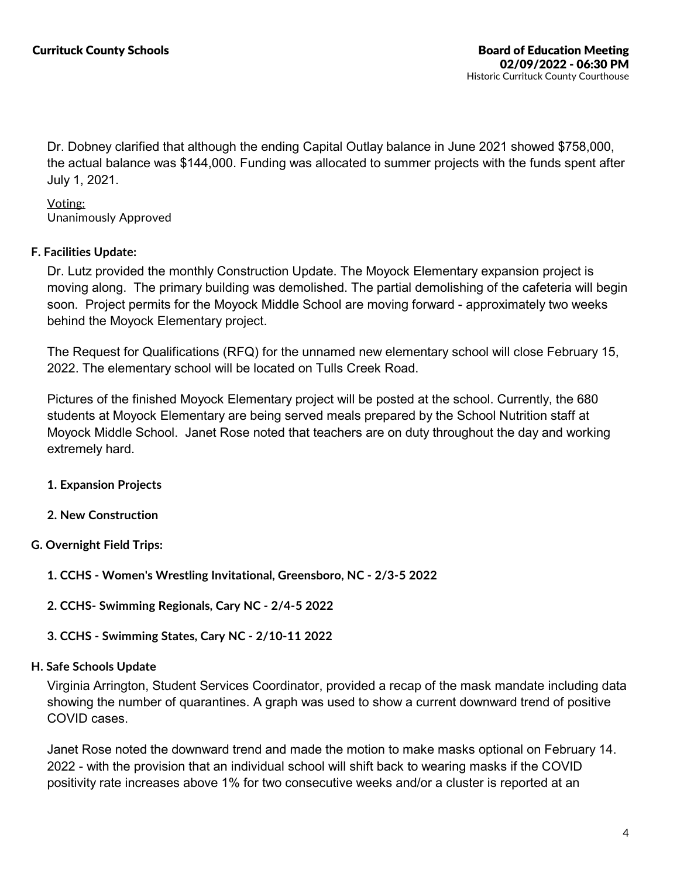Dr. Dobney clarified that although the ending Capital Outlay balance in June 2021 showed \$758,000, the actual balance was \$144,000. Funding was allocated to summer projects with the funds spent after July 1, 2021.

Voting: Unanimously Approved

### **F. Facilities Update:**

Dr. Lutz provided the monthly Construction Update. The Moyock Elementary expansion project is moving along. The primary building was demolished. The partial demolishing of the cafeteria will begin soon. Project permits for the Moyock Middle School are moving forward - approximately two weeks behind the Moyock Elementary project.

The Request for Qualifications (RFQ) for the unnamed new elementary school will close February 15, 2022. The elementary school will be located on Tulls Creek Road.

Pictures of the finished Moyock Elementary project will be posted at the school. Currently, the 680 students at Moyock Elementary are being served meals prepared by the School Nutrition staff at Moyock Middle School. Janet Rose noted that teachers are on duty throughout the day and working extremely hard.

- **1. Expansion Projects**
- **2. New Construction**

## **G. Overnight Field Trips:**

- **1. CCHS - Women's Wrestling Invitational, Greensboro, NC - 2/3-5 2022**
- **2. CCHS- Swimming Regionals, Cary NC - 2/4-5 2022**
- **3. CCHS - Swimming States, Cary NC - 2/10-11 2022**

#### **H. Safe Schools Update**

Virginia Arrington, Student Services Coordinator, provided a recap ofthe mask mandate including data showing the number of quarantines. A graph was used to show a current downward trend of positive COVID cases.

Janet Rose noted the downward trend and made the motion to make masks optional on February 14. 2022 - with the provision that an individual school will shift back to wearing masks if the COVID positivity rate increases above 1% for two consecutive weeks and/or a cluster is reported atan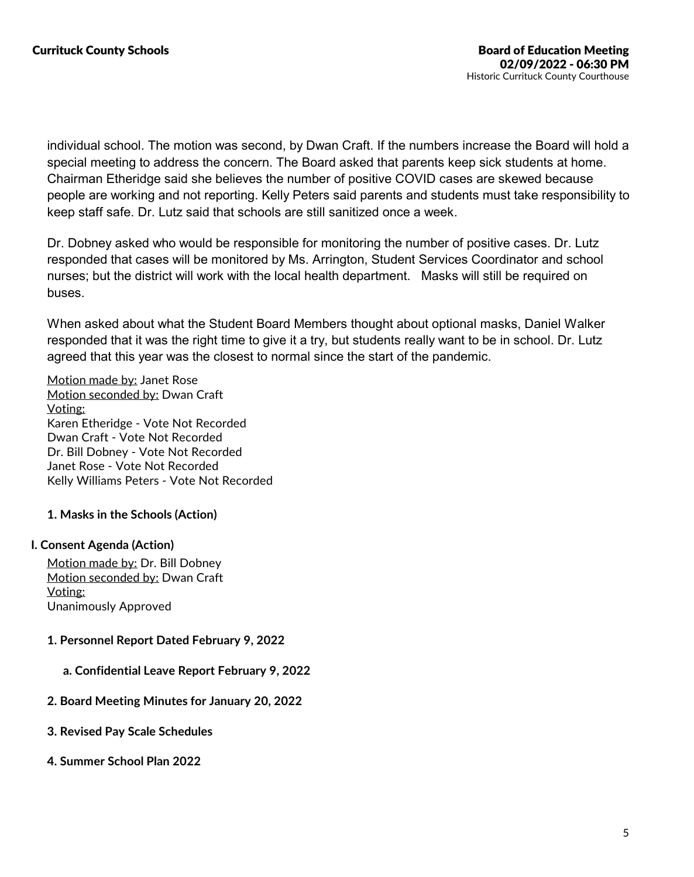individual school. The motion was second, by Dwan Craft. If the numbers increase the Board will hold a special meeting to address the concern. The Board asked that parents keep sick students at home. Chairman Etheridge said she believes the number of positive COVID cases are skewed because people are working and not reporting. Kelly Peters said parents and students must take responsibility to keep staff safe. Dr. Lutz said that schools are still sanitized once a week.

Dr. Dobney asked who would be responsible for monitoring the number of positive cases. Dr. Lutz responded that cases will be monitored by Ms. Arrington, Student Services Coordinator and school nurses; but the district will work with the local health department. Masks will still be required on buses.

When asked about what the Student Board Members thought about optional masks, Daniel Walker responded that it was the right time to give it a try, but students really want to be in school. Dr. Lutz agreed that this year was the closest to normal since the start of the pandemic.

Motion made by: Janet Rose Motion seconded by: Dwan Craft Voting: Karen Etheridge -Vote Not Recorded Dwan Craft - Vote Not Recorded Dr. Bill Dobney - Vote Not Recorded Janet Rose - Vote Not Recorded Kelly Williams Peters - Vote Not Recorded

**1. Masks in the Schools (Action)**

#### **I. Consent Agenda (Action)**

Motion made by: Dr. Bill Dobney Motion seconded by: Dwan Craft Voting: Unanimously Approved

- **1. Personnel Report Dated February 9, 2022**
	- **a. Confidential Leave Report February 9, 2022**
- **2. Board Meeting Minutes for January 20, 2022**
- **3. Revised Pay Scale Schedules**
- **4. Summer School Plan 2022**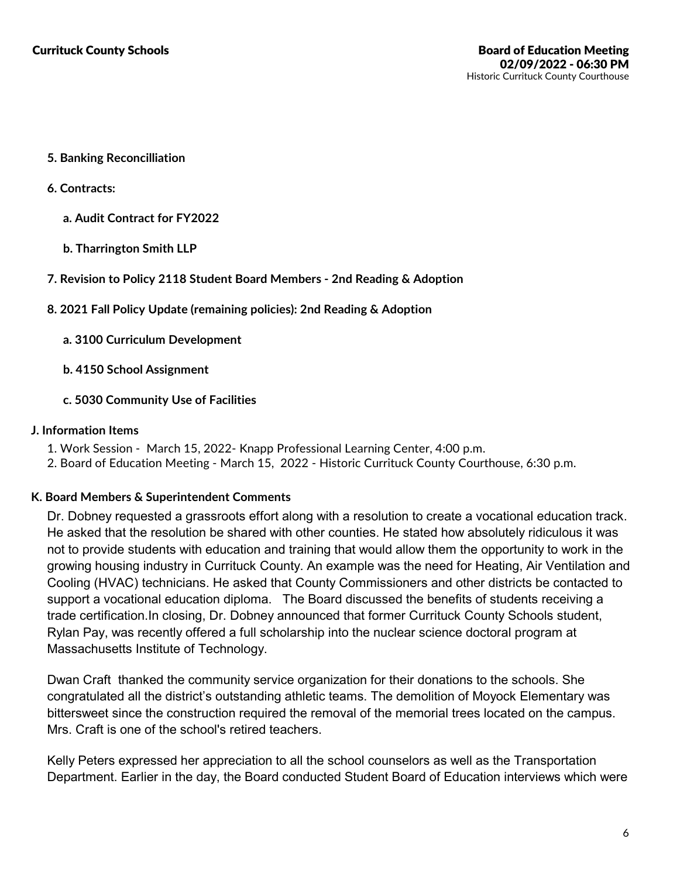- **5. Banking Reconcilliation**
- **6. Contracts:**
	- **a. Audit Contract for FY2022**
	- **b. Tharrington Smith LLP**
- **7. Revision to Policy 2118 Student Board Members - 2nd Reading & Adoption**
- **8. 2021 Fall Policy Update (remaining policies): 2nd Reading & Adoption**
	- **a. 3100 Curriculum Development**
	- **b. 4150 School Assignment**
	- **c. 5030 Community Use of Facilities**

#### **J. Information Items**

- 
- 1. Work Session March 15, 2022- Knapp Professional Learning Center, 4:00 p.m.<br>2. Board of Education Meeting March 15, 2022 Historic Currituck County Courthouse, 6:30 p.m.

#### **K. Board Members & Superintendent Comments**

Dr. Dobney requested a grassroots effort along with a resolution to create a vocational education track. He asked that the resolution be shared with other counties. He stated how absolutely ridiculous it was not to provide students with education and training that would allow them the opportunity to work in the growing housing industry in Currituck County. An example was the need for Heating, Air Ventilation and Cooling (HVAC) technicians. He asked that County Commissioners and other districts be contacted to support a vocational education diploma. The Board discussed the benefits of students receiving a trade certification.In closing, Dr. Dobney announced that former Currituck County Schools student, Rylan Pay, was recently offered a full scholarship into the nuclear science doctoral program at Massachusetts Institute of Technology.

Dwan Craft thanked the community service organization for their donations to the schools. She congratulated all the district's outstanding athletic teams. The demolition of Moyock Elementary was bittersweet since the construction required the removal of the memorial trees located on the campus. Mrs. Craft is one of the school's retired teachers.

Kelly Peters expressed her appreciation to all the school counselors as well as the Transportation Department. Earlier in the day, the Board conducted Student Board of Education interviews which were